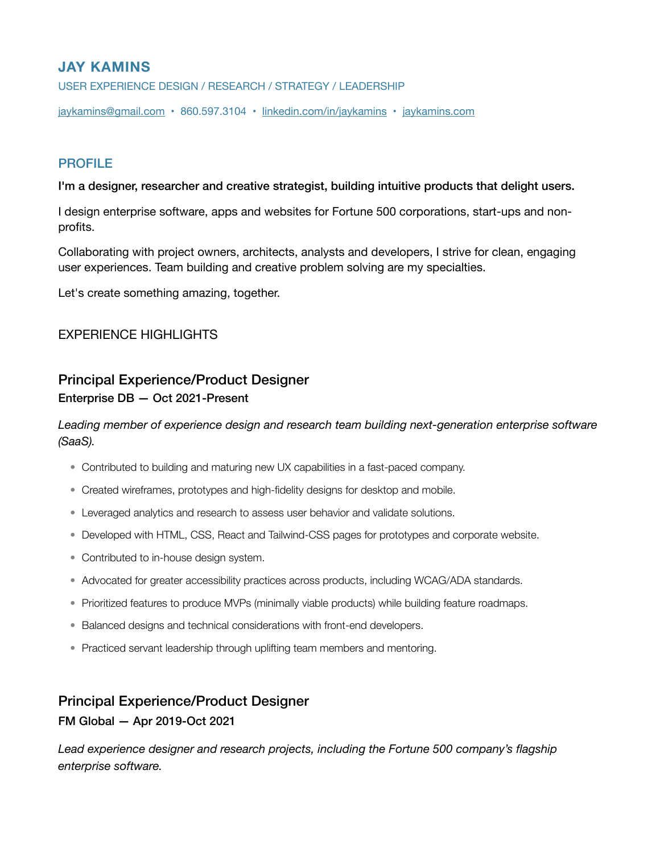## **JAY KAMINS**

USER EXPERIENCE DESIGN / RESEARCH / STRATEGY / LEADERSHIP

[jaykamins@gmail.com](mailto:jaykamins@gmail.com) • 860.597.3104 • [linkedin.com/in/jaykamins](http://linkedin.com/in/jaykamins/) • [jaykamins.com](http://jaykamins.com)

### PROFILE

I'm a designer, researcher and creative strategist, building intuitive products that delight users.

I design enterprise software, apps and websites for Fortune 500 corporations, start-ups and nonprofits.

Collaborating with project owners, architects, analysts and developers, I strive for clean, engaging user experiences. Team building and creative problem solving are my specialties.

Let's create something amazing, together.

### EXPERIENCE HIGHLIGHTS

# Principal Experience/Product Designer Enterprise DB — Oct 2021-Present

### Leading member of experience design and research team building next-generation enterprise software *(SaaS).*

- Contributed to building and maturing new UX capabilities in a fast-paced company.
- Created wireframes, prototypes and high-fidelity designs for desktop and mobile.
- Leveraged analytics and research to assess user behavior and validate solutions.
- Developed with HTML, CSS, React and Tailwind-CSS pages for prototypes and corporate website.
- Contributed to in-house design system.
- Advocated for greater accessibility practices across products, including WCAG/ADA standards.
- Prioritized features to produce MVPs (minimally viable products) while building feature roadmaps.
- Balanced designs and technical considerations with front-end developers.
- Practiced servant leadership through uplifting team members and mentoring.

# Principal Experience/Product Designer

#### FM Global — Apr 2019-Oct 2021

Lead experience designer and research projects, including the Fortune 500 company's flagship *enterprise software.*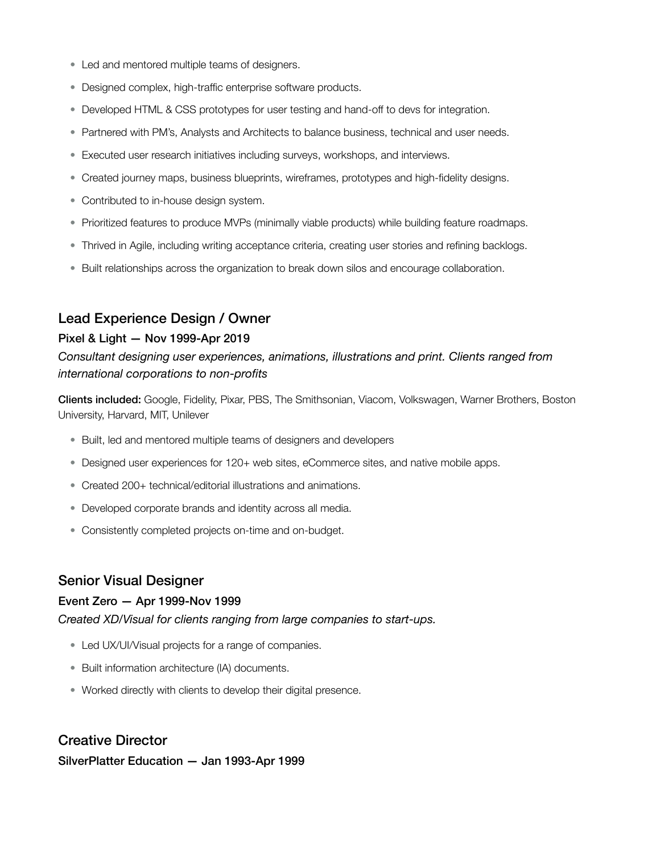- Led and mentored multiple teams of designers.
- Designed complex, high-traffic enterprise software products.
- Developed HTML & CSS prototypes for user testing and hand-off to devs for integration.
- Partnered with PM's, Analysts and Architects to balance business, technical and user needs.
- Executed user research initiatives including surveys, workshops, and interviews.
- Created journey maps, business blueprints, wireframes, prototypes and high-fidelity designs.
- Contributed to in-house design system.
- Prioritized features to produce MVPs (minimally viable products) while building feature roadmaps.
- Thrived in Agile, including writing acceptance criteria, creating user stories and refining backlogs.
- Built relationships across the organization to break down silos and encourage collaboration.

#### Lead Experience Design / Owner

#### Pixel & Light — Nov 1999-Apr 2019

#### *Consultant designing user experiences, animations, illustrations and print. Clients ranged from international corporations to non-profits*

Clients included: Google, Fidelity, Pixar, PBS, The Smithsonian, Viacom, Volkswagen, Warner Brothers, Boston University, Harvard, MIT, Unilever

- Built, led and mentored multiple teams of designers and developers
- Designed user experiences for 120+ web sites, eCommerce sites, and native mobile apps.
- Created 200+ technical/editorial illustrations and animations.
- Developed corporate brands and identity across all media.
- Consistently completed projects on-time and on-budget.

#### Senior Visual Designer

#### Event Zero — Apr 1999-Nov 1999

*Created XD/Visual for clients ranging from large companies to start-ups.* 

- Led UX/UI/Visual projects for a range of companies.
- Built information architecture (IA) documents.
- Worked directly with clients to develop their digital presence.

#### Creative Director

SilverPlatter Education — Jan 1993-Apr 1999